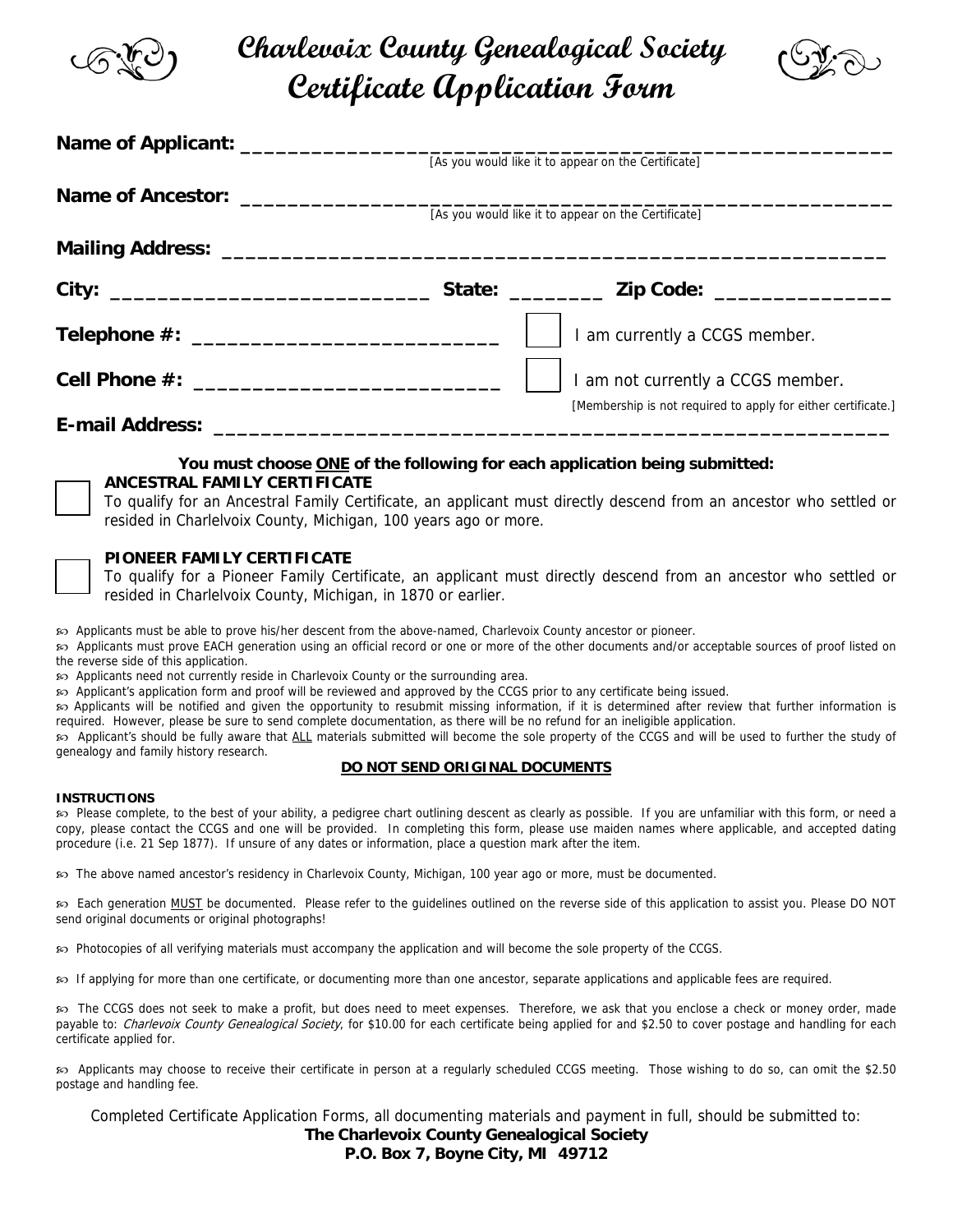

# **Charlevoix County Genealogical Society Certificate Application Form**



|                                                                                                                                                                                                                                     | [As you would like it to appear on the Certificate]           |  |  |
|-------------------------------------------------------------------------------------------------------------------------------------------------------------------------------------------------------------------------------------|---------------------------------------------------------------|--|--|
|                                                                                                                                                                                                                                     |                                                               |  |  |
|                                                                                                                                                                                                                                     | [As you would like it to appear on the Certificate]           |  |  |
|                                                                                                                                                                                                                                     |                                                               |  |  |
|                                                                                                                                                                                                                                     |                                                               |  |  |
|                                                                                                                                                                                                                                     | I am currently a CCGS member.                                 |  |  |
|                                                                                                                                                                                                                                     | I am not currently a CCGS member.                             |  |  |
| <b>E-mail Address:</b> The Contract of the Contract of the Contract of the Contract of the Contract of the Contract of the Contract of the Contract of the Contract of the Contract of the Contract of the Contract of the Contract | [Membership is not required to apply for either certificate.] |  |  |

## **You must choose ONE of the following for each application being submitted: ANCESTRAL FAMILY CERTIFICATE**

To qualify for an Ancestral Family Certificate, an applicant must directly descend from an ancestor who settled or resided in Charlelvoix County, Michigan, 100 years ago or more.

## **PIONEER FAMILY CERTIFICATE**

To qualify for a Pioneer Family Certificate, an applicant must directly descend from an ancestor who settled or resided in Charlelvoix County, Michigan, in 1870 or earlier.

Y Applicants must be able to prove his/her descent from the above-named, Charlevoix County ancestor or pioneer.

Y Applicants must prove EACH generation using an official record or one or more of the other documents and/or acceptable sources of proof listed on the reverse side of this application.

Y Applicants need not currently reside in Charlevoix County or the surrounding area.

Y Applicant's application form and proof will be reviewed and approved by the CCGS prior to any certificate being issued.

Y Applicants will be notified and given the opportunity to resubmit missing information, if it is determined after review that further information is required. However, please be sure to send complete documentation, as there will be no refund for an ineligible application.

Y Applicant's should be fully aware that ALL materials submitted will become the sole property of the CCGS and will be used to further the study of genealogy and family history research.

## **DO NOT SEND ORIGINAL DOCUMENTS**

## **INSTRUCTIONS**

Y Please complete, to the best of your ability, a pedigree chart outlining descent as clearly as possible. If you are unfamiliar with this form, or need a copy, please contact the CCGS and one will be provided. In completing this form, please use maiden names where applicable, and accepted dating procedure (i.e. 21 Sep 1877). If unsure of any dates or information, place a question mark after the item.

Y The above named ancestor's residency in Charlevoix County, Michigan, 100 year ago or more, must be documented.

Y Each generation MUST be documented. Please refer to the guidelines outlined on the reverse side of this application to assist you. Please DO NOT send original documents or original photographs!

Y Photocopies of all verifying materials must accompany the application and will become the sole property of the CCGS.

 $\wp$  If applying for more than one certificate, or documenting more than one ancestor, separate applications and applicable fees are required.

Fhe CCGS does not seek to make a profit, but does need to meet expenses. Therefore, we ask that you enclose a check or money order, made payable to: Charlevoix County Genealogical Society, for \$10.00 for each certificate being applied for and \$2.50 to cover postage and handling for each certificate applied for.

Y Applicants may choose to receive their certificate in person at a regularly scheduled CCGS meeting. Those wishing to do so, can omit the \$2.50 postage and handling fee.

Completed Certificate Application Forms, all documenting materials and payment in full, should be submitted to: **The Charlevoix County Genealogical Society P.O. Box 7, Boyne City, MI 49712**